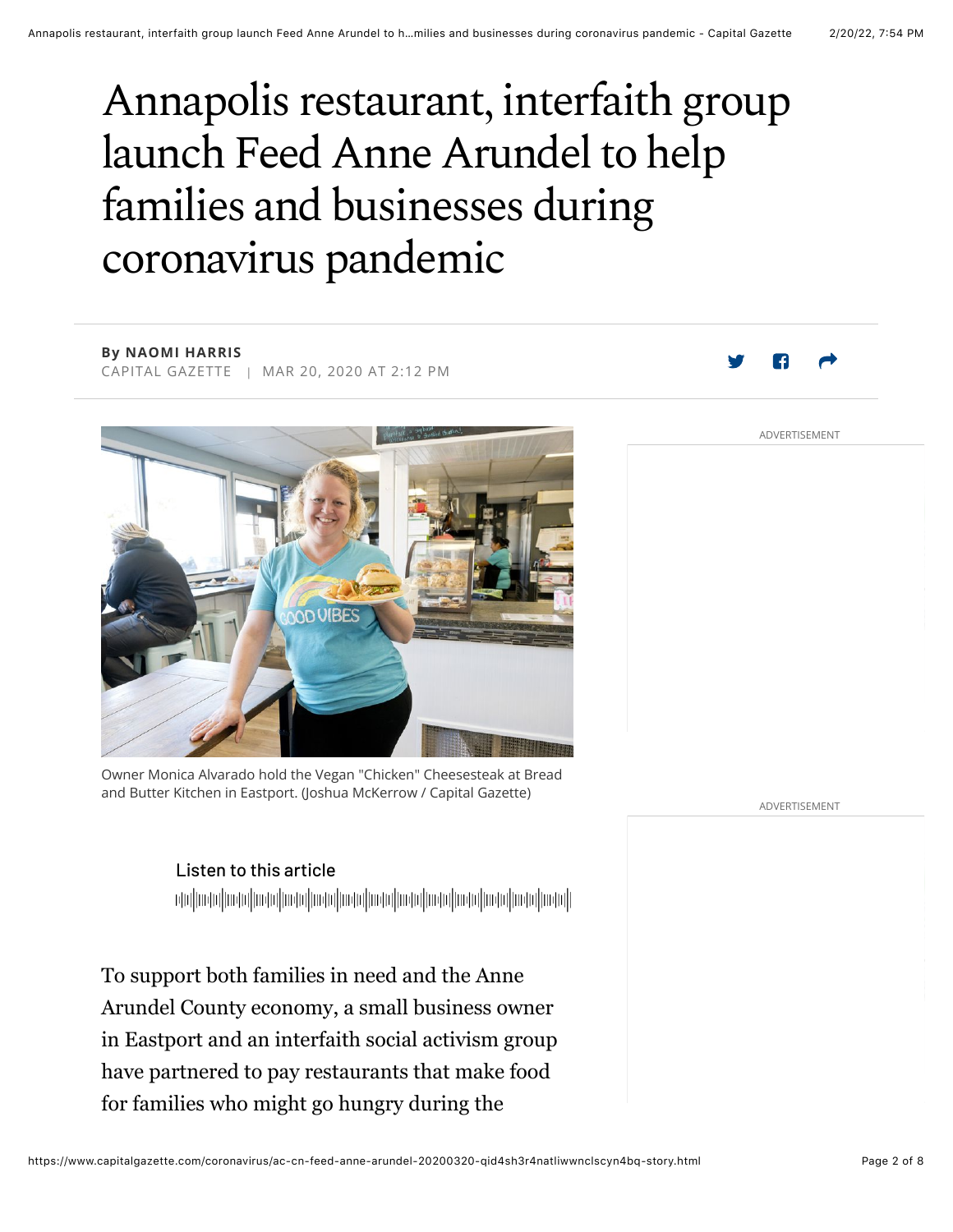# Annapolis restaurant, interfaith group launch Feed Anne Arundel to help families and businesses during coronavirus pandemic

**By NAOMI HARRIS** CAPITAL GAZETTE | MAR 20, 2020 AT 2:12 PM



Owner Monica Alvarado hold the Vegan "Chicken" Cheesesteak at Bread and Butter Kitchen in Eastport. (Joshua McKerrow / Capital Gazette)

ADVERTISEMENT

ADVERTISEMENT

### Listen to this article

ի կավի հիմնական կիրական կարող իրական կարող կազմական կարող կազմական կարող կազմական կապարական կարող կազմական կապ<br>Կազմական կազմական կարող կարող կարող կարող կարող կարող կարող կարող կարող կարող կարող կարող կարող կարող կարող կա

To support both families in need and the Anne Arundel County economy, a small business owner in Eastport and an interfaith social activism group have partnered to pay restaurants that make food for families who might go hungry during the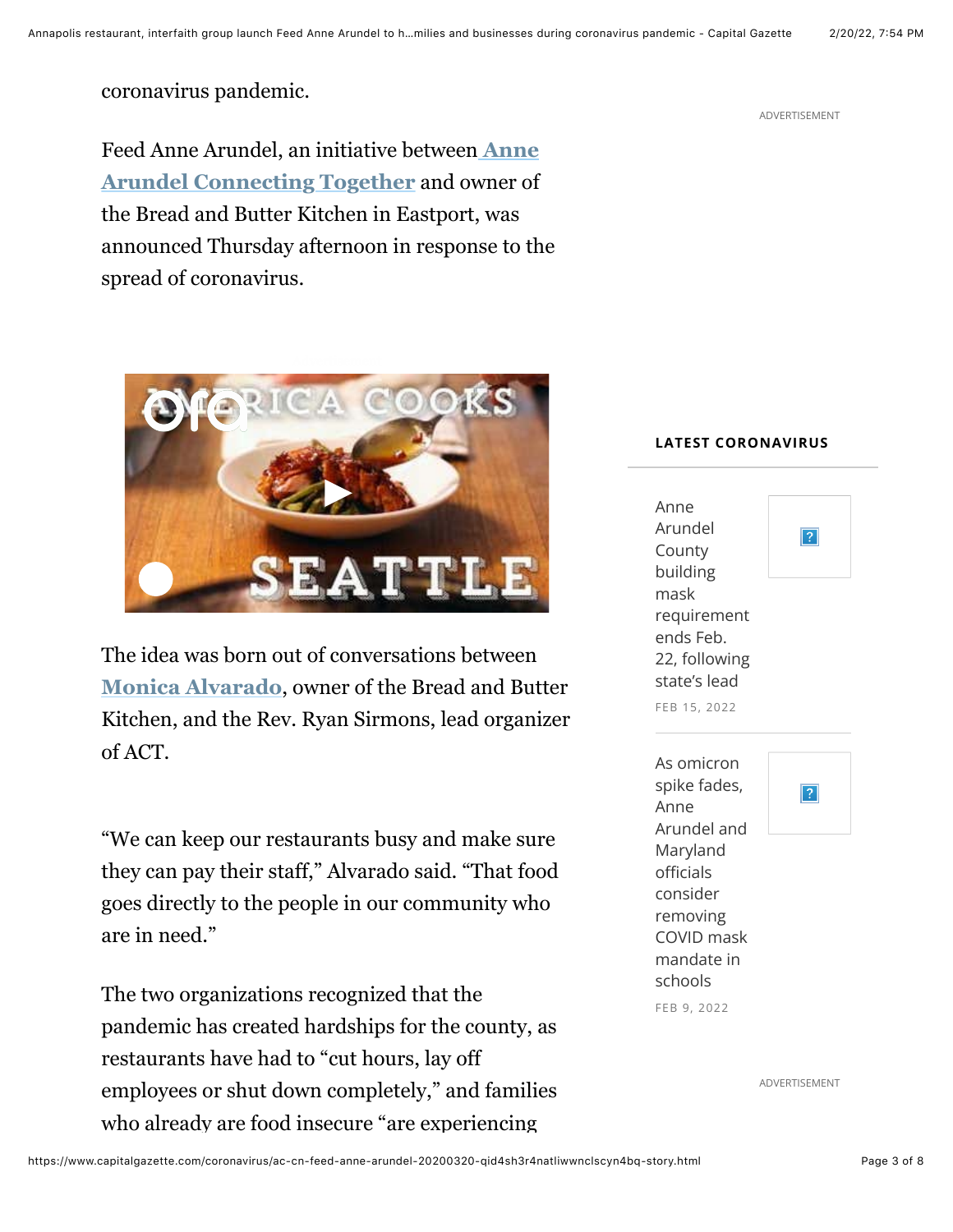ADVERTISEMENT

coronavirus pandemic.

Feed Anne Arundel, an initiative between **Anne Arundel Connecting Together** and owner of the Bread and Butter Kitchen in Eastport, was announced Thursday afternoon in response to the spread of coronavirus.



The idea was born out of conversations between **Monica Alvarado**, owner of the Bread and Butter Kitchen, and the Rev. Ryan Sirmons, lead organizer of ACT.

"We can keep our restaurants busy and make sure they can pay their staff," Alvarado said. "That food goes directly to the people in our community who are in need."

The two organizations recognized that the pandemic has created hardships for the county, as restaurants have had to "cut hours, lay off employees or shut down completely," and families who already are food insecure "are experiencing





ADVERTISEMENT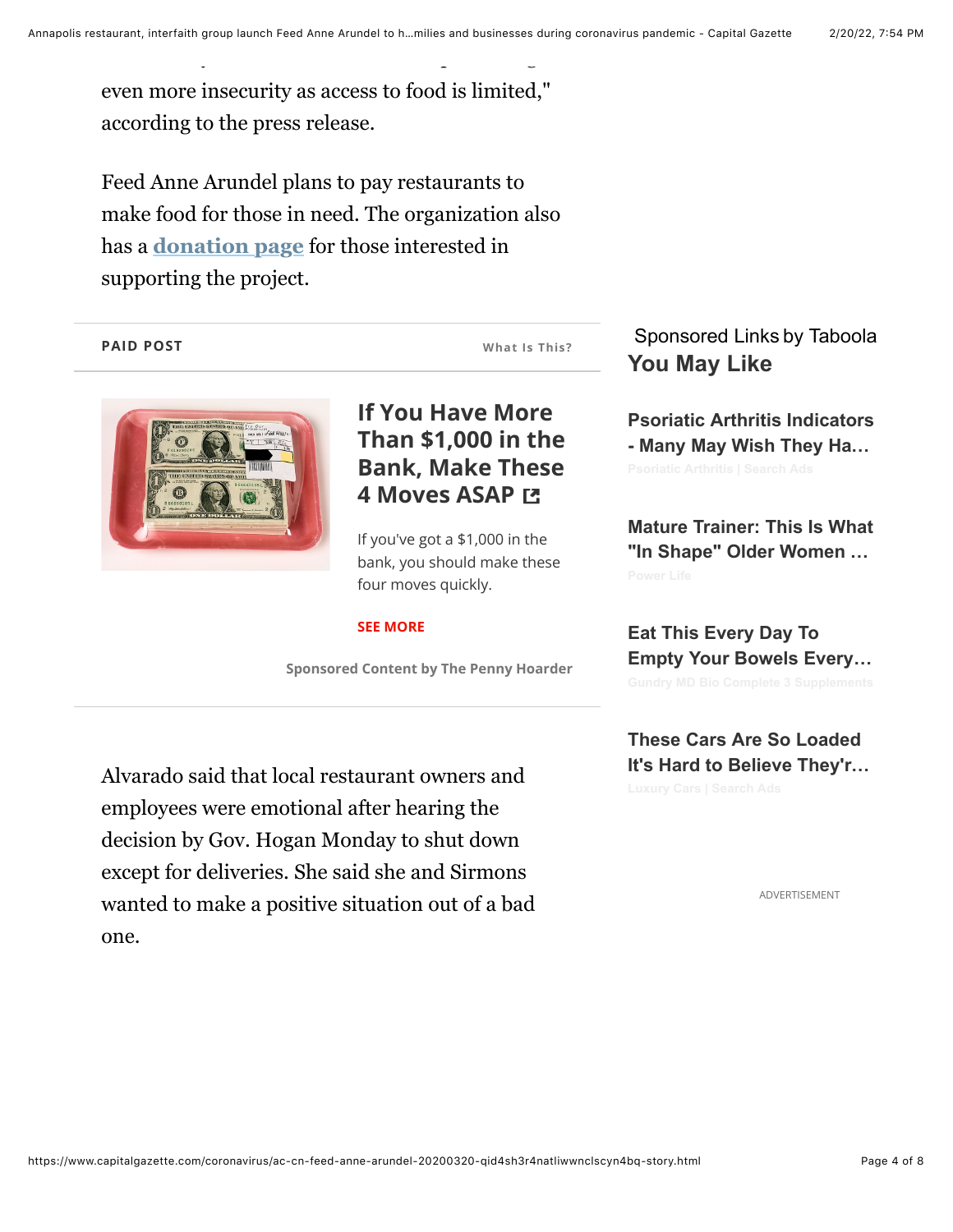even more insecurity as access to food is limited," according to the press release.

who already are food insecure "are experiencing

Feed Anne Arundel plans to pay restaurants to make food for those in need. The organization also has a **donation page** for those interested in supporting the project.

#### **PAID POST**



### **If You Have More Than \$1.000 in the Bank, Make These 4 Moves ASAP LT**

**What Is This?** 

If you've got a  $$1,000$  in the bank, you should make these four moves quickly.

#### **SEE MORE**

**Sponsored Content by The Penny Hoarder** 

Alvarado said that local restaurant owners and employees were emotional after hearing the decision by Gov. Hogan Monday to shut down except for deliveries. She said she and Sirmons wanted to make a positive situation out of a bad one.

Sponsored Links by Taboola **You May Like**

**Psoriatic Arthritis Indicators - Many May Wish They Ha…**

**Mature Trainer: This Is What "In Shape" Older Women …**

**Eat This Every Day To Empty Your Bowels Every…**

**These Cars Are So Loaded It's Hard to Believe They'r…**

ADVERTISEMENT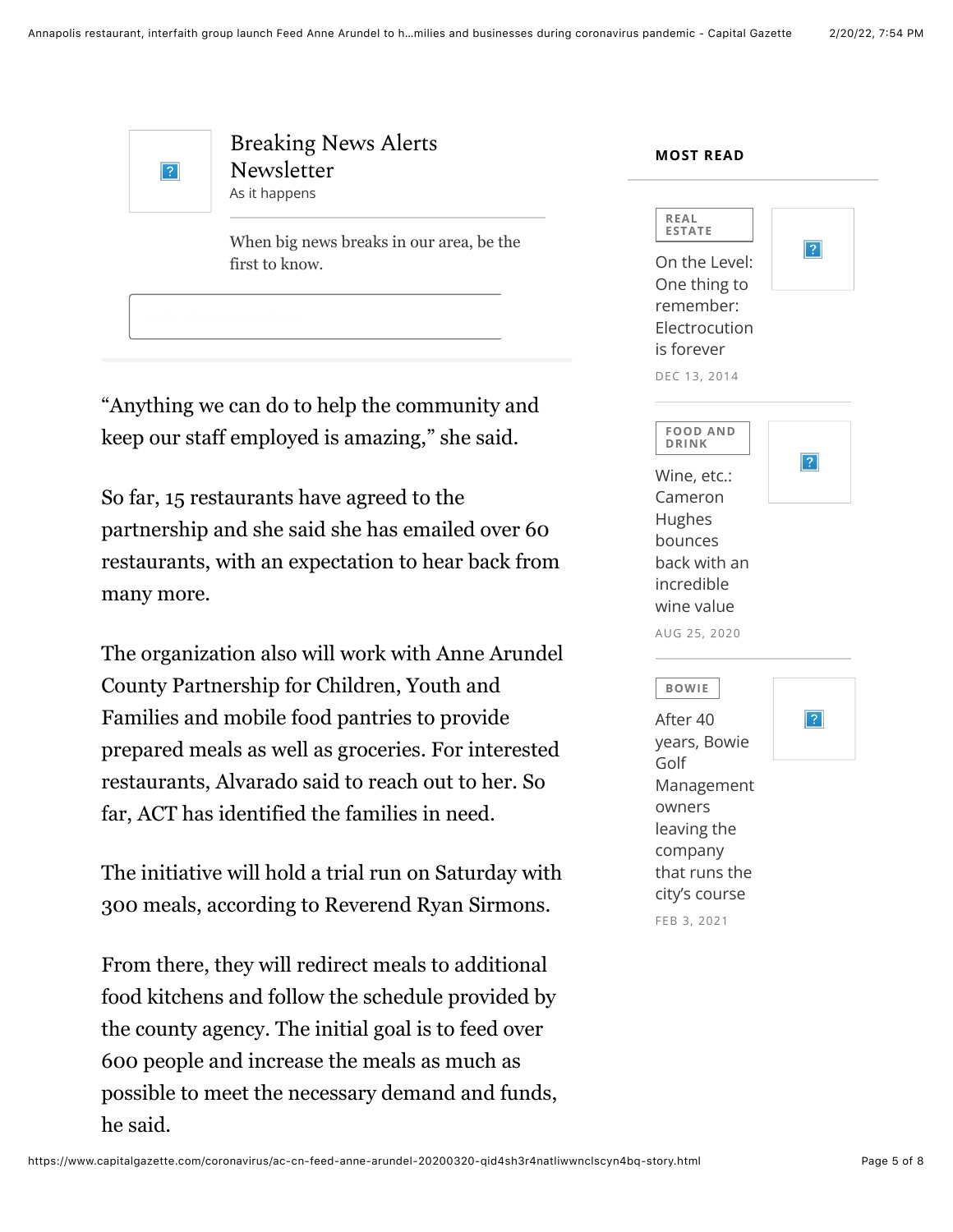

## Breaking News Alerts Newsletter As it happens

When big news breaks in our area, be the first to know.

"Anything we can do to help the community and keep our staff employed is amazing," she said.

So far, 15 restaurants have agreed to the partnership and she said she has emailed over 60 restaurants, with an expectation to hear back from many more.

The organization also will work with Anne Arundel County Partnership for Children, Youth and Families and mobile food pantries to provide prepared meals as well as groceries. For interested restaurants, Alvarado said to reach out to her. So far, ACT has identified the families in need.

The initiative will hold a trial run on Saturday with 300 meals, according to Reverend Ryan Sirmons.

From there, they will redirect meals to additional food kitchens and follow the schedule provided by the county agency. The initial goal is to feed over 600 people and increase the meals as much as possible to meet the necessary demand and funds, he said.

| REAL<br><b>ESTATE</b>                                                     |   |
|---------------------------------------------------------------------------|---|
| On the Level:<br>One thing to<br>remember:<br>Electrocution<br>is forever | ? |
| DEC 13, 2014                                                              |   |
|                                                                           |   |
| <b>FOOD AND</b><br><b>DRINK</b>                                           |   |
| Wine, etc.:                                                               |   |
| Cameron                                                                   |   |
| Hughes                                                                    |   |
| bounces                                                                   |   |
| back with an                                                              |   |
| incredible                                                                |   |
| wine value                                                                |   |
| AUG 25, 2020                                                              |   |
|                                                                           |   |
| <b>BOWIE</b>                                                              |   |
| After 40                                                                  |   |
| years, Bowie                                                              |   |
| Golf                                                                      |   |

**MOST READ** 

R/9A Management owners leaving the company that runs the city's course FEB 3, 2021